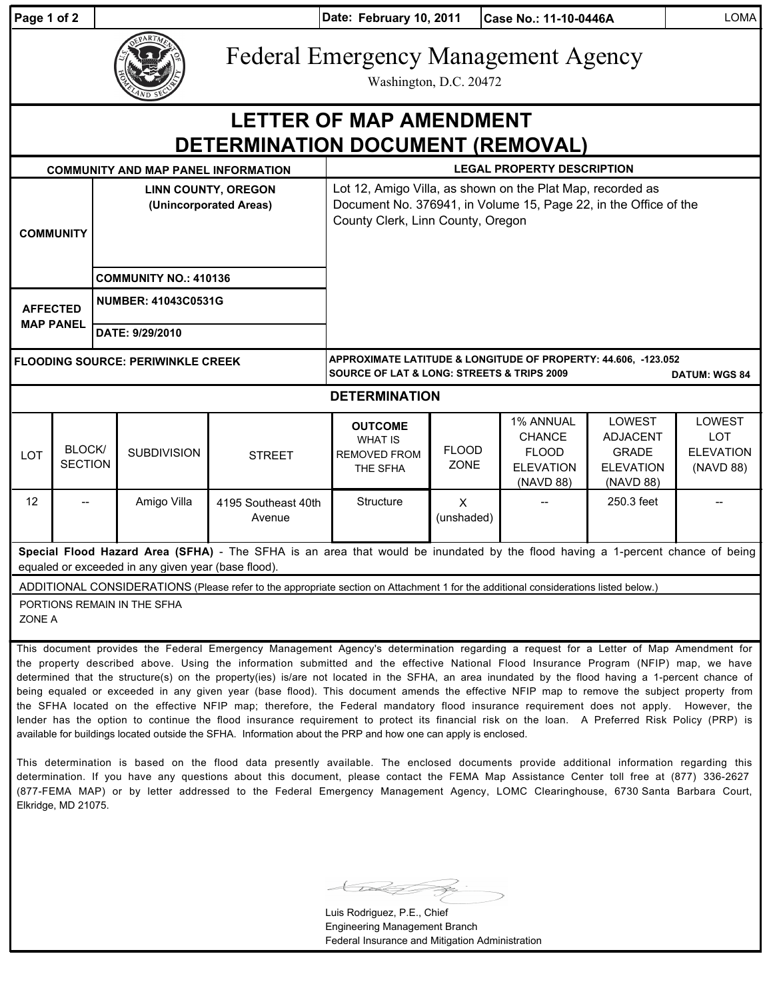| Page 1 of 2                                                                                                                                                                                                                                                                                                                                                                                                                                                                                                                                                                    |                          |                                                      |                    |                               | Date: February 10, 2011                                                                                                                                             |                             | Case No.: 11-10-0446A                                                              |                                                                            | <b>LOMA</b>                                                  |
|--------------------------------------------------------------------------------------------------------------------------------------------------------------------------------------------------------------------------------------------------------------------------------------------------------------------------------------------------------------------------------------------------------------------------------------------------------------------------------------------------------------------------------------------------------------------------------|--------------------------|------------------------------------------------------|--------------------|-------------------------------|---------------------------------------------------------------------------------------------------------------------------------------------------------------------|-----------------------------|------------------------------------------------------------------------------------|----------------------------------------------------------------------------|--------------------------------------------------------------|
|                                                                                                                                                                                                                                                                                                                                                                                                                                                                                                                                                                                |                          |                                                      |                    |                               | <b>Federal Emergency Management Agency</b><br>Washington, D.C. 20472                                                                                                |                             |                                                                                    |                                                                            |                                                              |
| <b>LETTER OF MAP AMENDMENT</b><br>DETERMINATION DOCUMENT (REMOVAL)                                                                                                                                                                                                                                                                                                                                                                                                                                                                                                             |                          |                                                      |                    |                               |                                                                                                                                                                     |                             |                                                                                    |                                                                            |                                                              |
| <b>LEGAL PROPERTY DESCRIPTION</b><br><b>COMMUNITY AND MAP PANEL INFORMATION</b>                                                                                                                                                                                                                                                                                                                                                                                                                                                                                                |                          |                                                      |                    |                               |                                                                                                                                                                     |                             |                                                                                    |                                                                            |                                                              |
| <b>COMMUNITY</b>                                                                                                                                                                                                                                                                                                                                                                                                                                                                                                                                                               |                          | <b>LINN COUNTY, OREGON</b><br>(Unincorporated Areas) |                    |                               | Lot 12, Amigo Villa, as shown on the Plat Map, recorded as<br>Document No. 376941, in Volume 15, Page 22, in the Office of the<br>County Clerk, Linn County, Oregon |                             |                                                                                    |                                                                            |                                                              |
|                                                                                                                                                                                                                                                                                                                                                                                                                                                                                                                                                                                |                          | <b>COMMUNITY NO.: 410136</b>                         |                    |                               |                                                                                                                                                                     |                             |                                                                                    |                                                                            |                                                              |
| <b>AFFECTED</b><br><b>MAP PANEL</b>                                                                                                                                                                                                                                                                                                                                                                                                                                                                                                                                            |                          | <b>NUMBER: 41043C0531G</b>                           |                    |                               |                                                                                                                                                                     |                             |                                                                                    |                                                                            |                                                              |
|                                                                                                                                                                                                                                                                                                                                                                                                                                                                                                                                                                                |                          | DATE: 9/29/2010                                      |                    |                               |                                                                                                                                                                     |                             |                                                                                    |                                                                            |                                                              |
| <b>FLOODING SOURCE: PERIWINKLE CREEK</b>                                                                                                                                                                                                                                                                                                                                                                                                                                                                                                                                       |                          |                                                      |                    |                               | APPROXIMATE LATITUDE & LONGITUDE OF PROPERTY: 44.606, -123.052<br><b>SOURCE OF LAT &amp; LONG: STREETS &amp; TRIPS 2009</b><br><b>DATUM: WGS 84</b>                 |                             |                                                                                    |                                                                            |                                                              |
| <b>DETERMINATION</b>                                                                                                                                                                                                                                                                                                                                                                                                                                                                                                                                                           |                          |                                                      |                    |                               |                                                                                                                                                                     |                             |                                                                                    |                                                                            |                                                              |
| LOT                                                                                                                                                                                                                                                                                                                                                                                                                                                                                                                                                                            | BLOCK/<br><b>SECTION</b> |                                                      | <b>SUBDIVISION</b> | <b>STREET</b>                 | <b>OUTCOME</b><br><b>WHAT IS</b><br><b>REMOVED FROM</b><br>THE SFHA                                                                                                 | <b>FLOOD</b><br><b>ZONE</b> | <b>1% ANNUAL</b><br><b>CHANCE</b><br><b>FLOOD</b><br><b>ELEVATION</b><br>(NAVD 88) | LOWEST<br><b>ADJACENT</b><br><b>GRADE</b><br><b>ELEVATION</b><br>(NAVD 88) | <b>LOWEST</b><br><b>LOT</b><br><b>ELEVATION</b><br>(NAVD 88) |
| 12                                                                                                                                                                                                                                                                                                                                                                                                                                                                                                                                                                             |                          |                                                      | Amigo Villa        | 4195 Southeast 40th<br>Avenue | Structure                                                                                                                                                           | $\mathsf{X}$<br>(unshaded)  |                                                                                    | 250.3 feet                                                                 |                                                              |
| Special Flood Hazard Area (SFHA) - The SFHA is an area that would be inundated by the flood having a 1-percent chance of being<br>equaled or exceeded in any given year (base flood).                                                                                                                                                                                                                                                                                                                                                                                          |                          |                                                      |                    |                               |                                                                                                                                                                     |                             |                                                                                    |                                                                            |                                                              |
| ADDITIONAL CONSIDERATIONS (Please refer to the appropriate section on Attachment 1 for the additional considerations listed below.)                                                                                                                                                                                                                                                                                                                                                                                                                                            |                          |                                                      |                    |                               |                                                                                                                                                                     |                             |                                                                                    |                                                                            |                                                              |
| PORTIONS REMAIN IN THE SFHA<br>ZONE A                                                                                                                                                                                                                                                                                                                                                                                                                                                                                                                                          |                          |                                                      |                    |                               |                                                                                                                                                                     |                             |                                                                                    |                                                                            |                                                              |
| This document provides the Federal Emergency Management Agency's determination regarding a request for a Letter of Map Amendment for<br>the property described above. Using the information submitted and the effective National Flood Insurance Program (NFIP) map, we have<br>determined that the structure(s) on the property(ies) is/are not located in the SFHA, an area inundated by the flood having a 1-percent chance of<br>being equaled or exceeded in any given year (base flood). This document amends the effective NFIP map to remove the subject property from |                          |                                                      |                    |                               |                                                                                                                                                                     |                             |                                                                                    |                                                                            |                                                              |

the SFHA located on the effective NFIP map; therefore, the Federal mandatory flood insurance requirement does not apply. However, the lender has the option to continue the flood insurance requirement to protect its financial risk on the loan. A Preferred Risk Policy (PRP) is available for buildings located outside the SFHA. Information about the PRP and how one can apply is enclosed. This determination is based on the flood data presently available. The enclosed documents provide additional information regarding this

determination. If you have any questions about this document, please contact the FEMA Map Assistance Center toll free at (877) 336-2627 (877-FEMA MAP) or by letter addressed to the Federal Emergency Management Agency, LOMC Clearinghouse, 6730 Santa Barbara Court, Elkridge, MD 21075.

Luis Rodriguez, P.E., Chief Engineering Management Branch Federal Insurance and Mitigation Administration